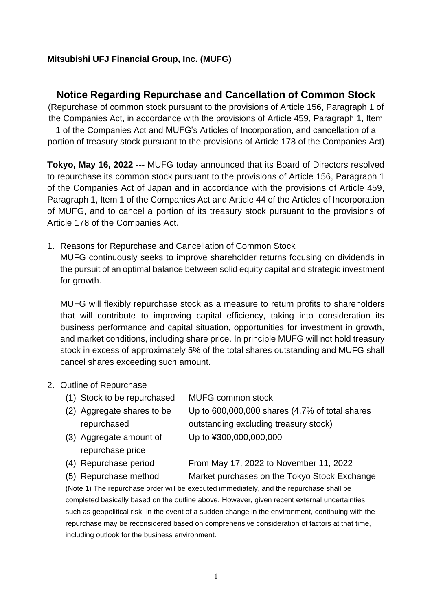## **Mitsubishi UFJ Financial Group, Inc. (MUFG)**

## **Notice Regarding Repurchase and Cancellation of Common Stock**

(Repurchase of common stock pursuant to the provisions of Article 156, Paragraph 1 of the Companies Act, in accordance with the provisions of Article 459, Paragraph 1, Item

1 of the Companies Act and MUFG's Articles of Incorporation, and cancellation of a portion of treasury stock pursuant to the provisions of Article 178 of the Companies Act)

**Tokyo, May 16, 2022 ---** MUFG today announced that its Board of Directors resolved to repurchase its common stock pursuant to the provisions of Article 156, Paragraph 1 of the Companies Act of Japan and in accordance with the provisions of Article 459, Paragraph 1, Item 1 of the Companies Act and Article 44 of the Articles of Incorporation of MUFG, and to cancel a portion of its treasury stock pursuant to the provisions of Article 178 of the Companies Act.

1. Reasons for Repurchase and Cancellation of Common Stock MUFG continuously seeks to improve shareholder returns focusing on dividends in the pursuit of an optimal balance between solid equity capital and strategic investment for growth.

MUFG will flexibly repurchase stock as a measure to return profits to shareholders that will contribute to improving capital efficiency, taking into consideration its business performance and capital situation, opportunities for investment in growth, and market conditions, including share price. In principle MUFG will not hold treasury stock in excess of approximately 5% of the total shares outstanding and MUFG shall cancel shares exceeding such amount.

- 2. Outline of Repurchase
	- (1) Stock to be repurchased MUFG common stock
	- (2) Aggregate shares to be repurchased
	- (3) Aggregate amount of repurchase price

Up to 600,000,000 shares (4.7% of total shares outstanding excluding treasury stock) Up to ¥300,000,000,000

(4) Repurchase period From May 17, 2022 to November 11, 2022

(5) Repurchase method Market purchases on the Tokyo Stock Exchange

(Note 1) The repurchase order will be executed immediately, and the repurchase shall be completed basically based on the outline above. However, given recent external uncertainties such as geopolitical risk, in the event of a sudden change in the environment, continuing with the repurchase may be reconsidered based on comprehensive consideration of factors at that time, including outlook for the business environment.